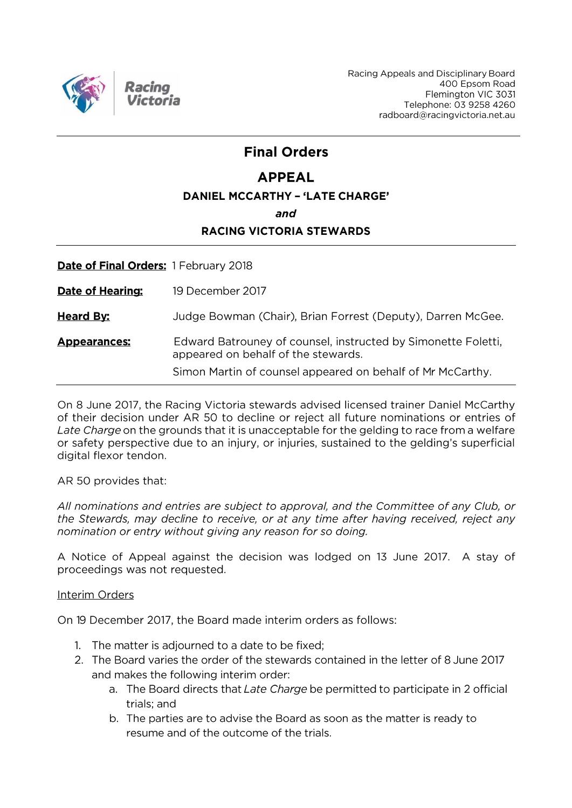

# **Final Orders**

# **APPEAL**

### **DANIEL MCCARTHY - 'LATE CHARGE'**

and

## **RACING VICTORIA STEWARDS**

Date of Final Orders: 1 February 2018

19 December 2017 **Date of Hearing:** 

**Heard By:** Judge Bowman (Chair), Brian Forrest (Deputy), Darren McGee.

**Appearances:** Edward Batrouney of counsel, instructed by Simonette Foletti, appeared on behalf of the stewards.

Simon Martin of counsel appeared on behalf of Mr McCarthy.

On 8 June 2017, the Racing Victoria stewards advised licensed trainer Daniel McCarthy of their decision under AR 50 to decline or reject all future nominations or entries of Late Charge on the grounds that it is unacceptable for the gelding to race from a welfare or safety perspective due to an injury, or injuries, sustained to the gelding's superficial digital flexor tendon.

AR 50 provides that:

All nominations and entries are subject to approval, and the Committee of any Club, or the Stewards, may decline to receive, or at any time after having received, reject any nomination or entry without giving any reason for so doing.

A Notice of Appeal against the decision was lodged on 13 June 2017. A stay of proceedings was not requested.

### Interim Orders

On 19 December 2017, the Board made interim orders as follows:

- 1. The matter is adjourned to a date to be fixed;
- 2. The Board varies the order of the stewards contained in the letter of 8 June 2017 and makes the following interim order:
	- a. The Board directs that Late Charge be permitted to participate in 2 official trials: and
	- b. The parties are to advise the Board as soon as the matter is ready to resume and of the outcome of the trials.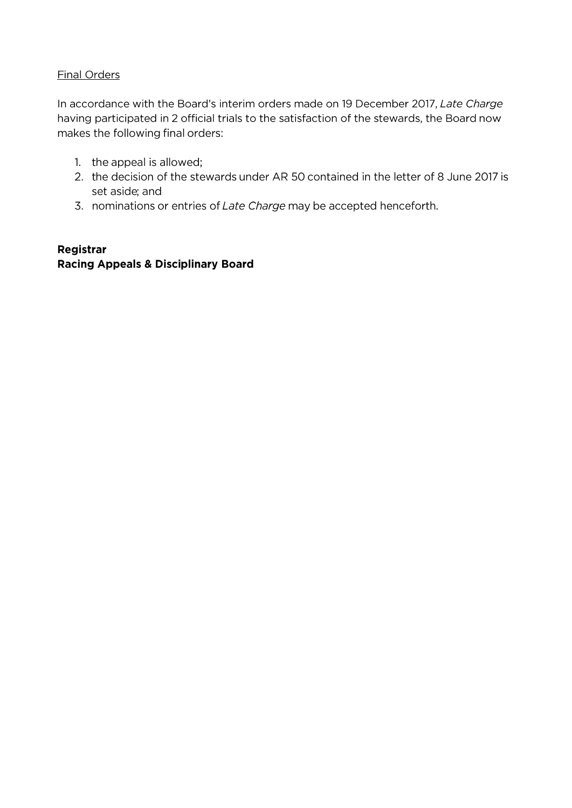## **Final Orders**

In accordance with the Board's interim orders made on 19 December 2017, Late Charge having participated in 2 official trials to the satisfaction of the stewards, the Board now makes the following final orders:

- 1. the appeal is allowed;
- 2. the decision of the stewards under AR 50 contained in the letter of 8 June 2017 is set aside; and
- 3. nominations or entries of Late Charge may be accepted henceforth.

## Registrar **Racing Appeals & Disciplinary Board**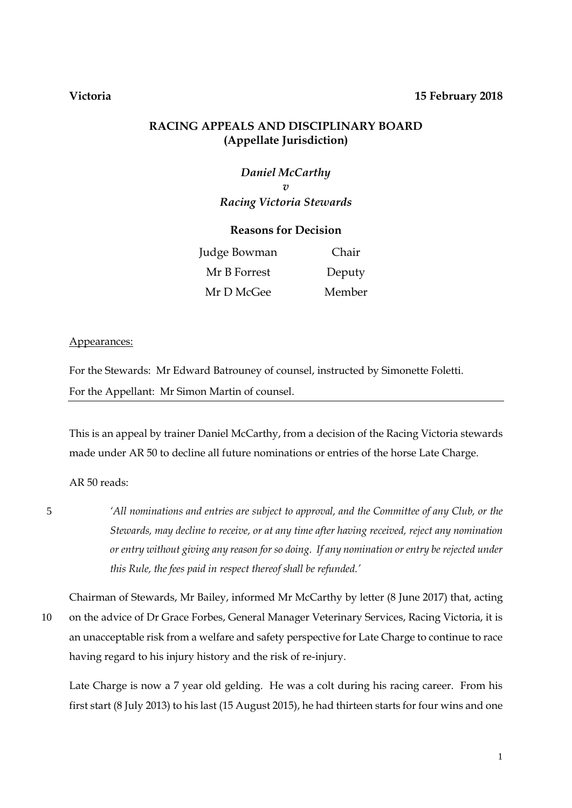#### **Victoria 15 February 2018**

### **RACING APPEALS AND DISCIPLINARY BOARD (Appellate Jurisdiction)**

*Daniel McCarthy v Racing Victoria Stewards*

#### **Reasons for Decision**

| Judge Bowman | Chair  |
|--------------|--------|
| Mr B Forrest | Deputy |
| Mr D McGee   | Member |

#### Appearances:

For the Stewards: Mr Edward Batrouney of counsel, instructed by Simonette Foletti. For the Appellant: Mr Simon Martin of counsel.

This is an appeal by trainer Daniel McCarthy, from a decision of the Racing Victoria stewards made under AR 50 to decline all future nominations or entries of the horse Late Charge.

AR 50 reads:

5 *'All nominations and entries are subject to approval, and the Committee of any Club, or the Stewards, may decline to receive, or at any time after having received, reject any nomination or entry without giving any reason for so doing. If any nomination or entry be rejected under this Rule, the fees paid in respect thereof shall be refunded.'*

Chairman of Stewards, Mr Bailey, informed Mr McCarthy by letter (8 June 2017) that, acting 10 on the advice of Dr Grace Forbes, General Manager Veterinary Services, Racing Victoria, it is an unacceptable risk from a welfare and safety perspective for Late Charge to continue to race having regard to his injury history and the risk of re-injury.

Late Charge is now a 7 year old gelding. He was a colt during his racing career. From his first start (8 July 2013) to his last (15 August 2015), he had thirteen starts for four wins and one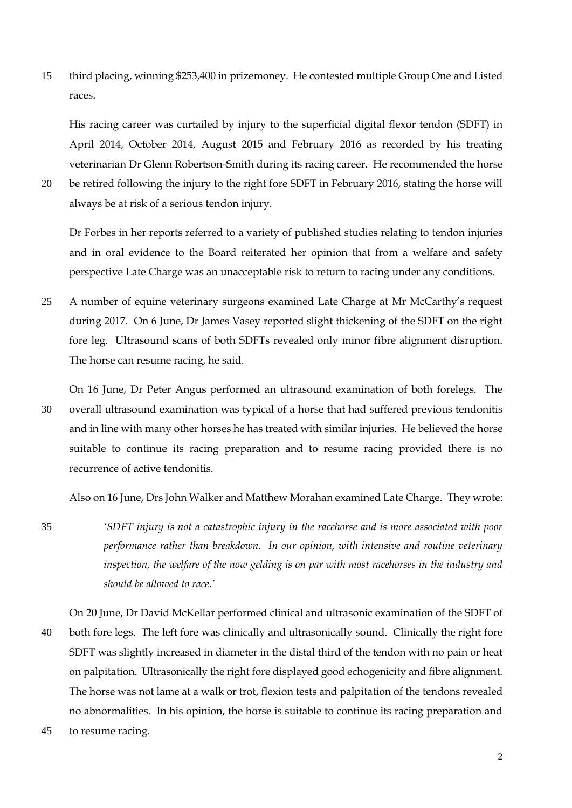15 third placing, winning \$253,400 in prizemoney. He contested multiple Group One and Listed races.

His racing career was curtailed by injury to the superficial digital flexor tendon (SDFT) in April 2014, October 2014, August 2015 and February 2016 as recorded by his treating veterinarian Dr Glenn Robertson-Smith during its racing career. He recommended the horse

20 be retired following the injury to the right fore SDFT in February 2016, stating the horse will always be at risk of a serious tendon injury.

Dr Forbes in her reports referred to a variety of published studies relating to tendon injuries and in oral evidence to the Board reiterated her opinion that from a welfare and safety perspective Late Charge was an unacceptable risk to return to racing under any conditions.

25 A number of equine veterinary surgeons examined Late Charge at Mr McCarthy's request during 2017. On 6 June, Dr James Vasey reported slight thickening of the SDFT on the right fore leg. Ultrasound scans of both SDFTs revealed only minor fibre alignment disruption. The horse can resume racing, he said.

On 16 June, Dr Peter Angus performed an ultrasound examination of both forelegs. The 30 overall ultrasound examination was typical of a horse that had suffered previous tendonitis and in line with many other horses he has treated with similar injuries. He believed the horse suitable to continue its racing preparation and to resume racing provided there is no recurrence of active tendonitis.

Also on 16 June, Drs John Walker and Matthew Morahan examined Late Charge. They wrote:

35 *'SDFT injury is not a catastrophic injury in the racehorse and is more associated with poor performance rather than breakdown. In our opinion, with intensive and routine veterinary inspection, the welfare of the now gelding is on par with most racehorses in the industry and should be allowed to race.'*

On 20 June, Dr David McKellar performed clinical and ultrasonic examination of the SDFT of 40 both fore legs. The left fore was clinically and ultrasonically sound. Clinically the right fore SDFT was slightly increased in diameter in the distal third of the tendon with no pain or heat on palpitation. Ultrasonically the right fore displayed good echogenicity and fibre alignment. The horse was not lame at a walk or trot, flexion tests and palpitation of the tendons revealed no abnormalities. In his opinion, the horse is suitable to continue its racing preparation and

45 to resume racing.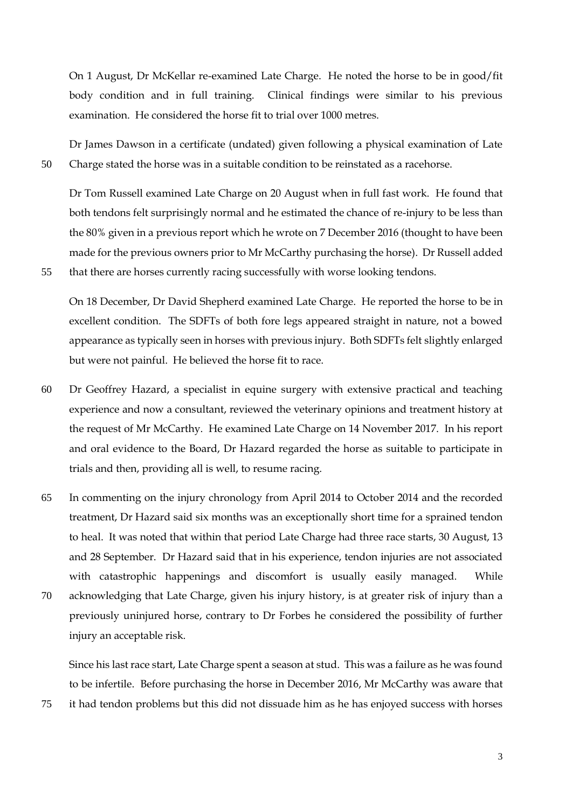On 1 August, Dr McKellar re-examined Late Charge. He noted the horse to be in good/fit body condition and in full training. Clinical findings were similar to his previous examination. He considered the horse fit to trial over 1000 metres.

Dr James Dawson in a certificate (undated) given following a physical examination of Late 50 Charge stated the horse was in a suitable condition to be reinstated as a racehorse.

Dr Tom Russell examined Late Charge on 20 August when in full fast work. He found that both tendons felt surprisingly normal and he estimated the chance of re-injury to be less than the 80% given in a previous report which he wrote on 7 December 2016 (thought to have been made for the previous owners prior to Mr McCarthy purchasing the horse). Dr Russell added 55 that there are horses currently racing successfully with worse looking tendons.

On 18 December, Dr David Shepherd examined Late Charge. He reported the horse to be in excellent condition. The SDFTs of both fore legs appeared straight in nature, not a bowed appearance as typically seen in horses with previous injury. Both SDFTs felt slightly enlarged but were not painful. He believed the horse fit to race.

- 60 Dr Geoffrey Hazard, a specialist in equine surgery with extensive practical and teaching experience and now a consultant, reviewed the veterinary opinions and treatment history at the request of Mr McCarthy. He examined Late Charge on 14 November 2017. In his report and oral evidence to the Board, Dr Hazard regarded the horse as suitable to participate in trials and then, providing all is well, to resume racing.
- 65 In commenting on the injury chronology from April 2014 to October 2014 and the recorded treatment, Dr Hazard said six months was an exceptionally short time for a sprained tendon to heal. It was noted that within that period Late Charge had three race starts, 30 August, 13 and 28 September. Dr Hazard said that in his experience, tendon injuries are not associated with catastrophic happenings and discomfort is usually easily managed. While 70 acknowledging that Late Charge, given his injury history, is at greater risk of injury than a previously uninjured horse, contrary to Dr Forbes he considered the possibility of further injury an acceptable risk.

Since his last race start, Late Charge spent a season at stud. This was a failure as he was found to be infertile. Before purchasing the horse in December 2016, Mr McCarthy was aware that 75 it had tendon problems but this did not dissuade him as he has enjoyed success with horses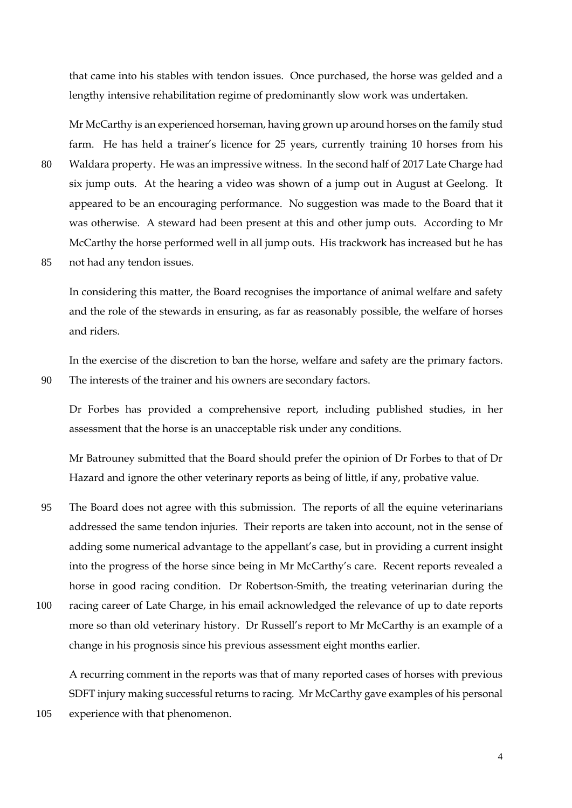that came into his stables with tendon issues. Once purchased, the horse was gelded and a lengthy intensive rehabilitation regime of predominantly slow work was undertaken.

Mr McCarthy is an experienced horseman, having grown up around horses on the family stud farm. He has held a trainer's licence for 25 years, currently training 10 horses from his 80 Waldara property. He was an impressive witness. In the second half of 2017 Late Charge had six jump outs. At the hearing a video was shown of a jump out in August at Geelong. It appeared to be an encouraging performance. No suggestion was made to the Board that it was otherwise. A steward had been present at this and other jump outs. According to Mr McCarthy the horse performed well in all jump outs. His trackwork has increased but he has

85 not had any tendon issues.

In considering this matter, the Board recognises the importance of animal welfare and safety and the role of the stewards in ensuring, as far as reasonably possible, the welfare of horses and riders.

In the exercise of the discretion to ban the horse, welfare and safety are the primary factors. 90 The interests of the trainer and his owners are secondary factors.

Dr Forbes has provided a comprehensive report, including published studies, in her assessment that the horse is an unacceptable risk under any conditions.

Mr Batrouney submitted that the Board should prefer the opinion of Dr Forbes to that of Dr Hazard and ignore the other veterinary reports as being of little, if any, probative value.

- 95 The Board does not agree with this submission. The reports of all the equine veterinarians addressed the same tendon injuries. Their reports are taken into account, not in the sense of adding some numerical advantage to the appellant's case, but in providing a current insight into the progress of the horse since being in Mr McCarthy's care. Recent reports revealed a horse in good racing condition. Dr Robertson-Smith, the treating veterinarian during the
- 100 racing career of Late Charge, in his email acknowledged the relevance of up to date reports more so than old veterinary history. Dr Russell's report to Mr McCarthy is an example of a change in his prognosis since his previous assessment eight months earlier.

A recurring comment in the reports was that of many reported cases of horses with previous SDFT injury making successful returns to racing. Mr McCarthy gave examples of his personal 105 experience with that phenomenon.

4